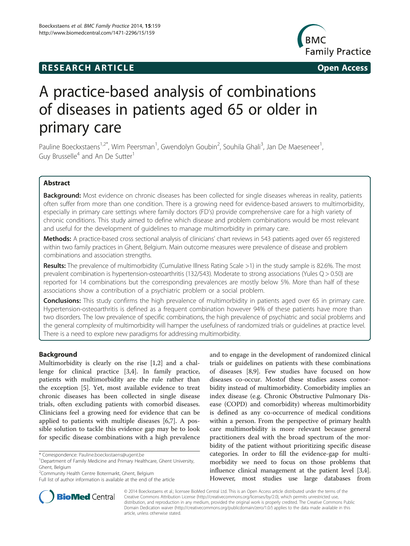## **RESEARCH ARTICLE Example 2014 12:30 The SEAR CHA RESEARCH ARTICLE**



# A practice-based analysis of combinations of diseases in patients aged 65 or older in primary care

Pauline Boeckxstaens<sup>1,2\*</sup>, Wim Peersman<sup>1</sup>, Gwendolyn Goubin<sup>2</sup>, Souhila Ghali<sup>3</sup>, Jan De Maeseneer<sup>1</sup> , Guy Brusselle<sup>4</sup> and An De Sutter<sup>1</sup>

## Abstract

Background: Most evidence on chronic diseases has been collected for single diseases whereas in reality, patients often suffer from more than one condition. There is a growing need for evidence-based answers to multimorbidity, especially in primary care settings where family doctors (FD's) provide comprehensive care for a high variety of chronic conditions. This study aimed to define which disease and problem combinations would be most relevant and useful for the development of guidelines to manage multimorbidity in primary care.

Methods: A practice-based cross sectional analysis of clinicians' chart reviews in 543 patients aged over 65 registered within two family practices in Ghent, Belgium. Main outcome measures were prevalence of disease and problem combinations and association strengths.

Results: The prevalence of multimorbidity (Cumulative Illness Rating Scale >1) in the study sample is 82.6%. The most prevalent combination is hypertension-osteoarthritis (132/543). Moderate to strong associations (Yules Q > 0.50) are reported for 14 combinations but the corresponding prevalences are mostly below 5%. More than half of these associations show a contribution of a psychiatric problem or a social problem.

**Conclusions:** This study confirms the high prevalence of multimorbidity in patients aged over 65 in primary care. Hypertension-osteoarthritis is defined as a frequent combination however 94% of these patients have more than two disorders. The low prevalence of specific combinations, the high prevalence of psychiatric and social problems and the general complexity of multimorbidity will hamper the usefulness of randomized trials or guidelines at practice level. There is a need to explore new paradigms for addressing multimorbidity.

### Background

Multimorbidity is clearly on the rise [\[1](#page-5-0),[2](#page-5-0)] and a challenge for clinical practice [\[3,4](#page-5-0)]. In family practice, patients with multimorbidity are the rule rather than the exception [[5\]](#page-5-0). Yet, most available evidence to treat chronic diseases has been collected in single disease trials, often excluding patients with comorbid diseases. Clinicians feel a growing need for evidence that can be applied to patients with multiple diseases [[6,7\]](#page-5-0). A possible solution to tackle this evidence gap may be to look for specific disease combinations with a high prevalence

\* Correspondence: [Pauline.boeckxstaens@ugent.be](mailto:Pauline.boeckxstaens@ugent.be) <sup>1</sup>

and to engage in the development of randomized clinical trials or guidelines on patients with these combinations of diseases [\[8,9\]](#page-5-0). Few studies have focused on how diseases co-occur. Mostof these studies assess comorbidity instead of multimorbidity. Comorbidity implies an index disease (e.g. Chronic Obstructive Pulmonary Disease (COPD) and comorbidity) whereas multimorbidity is defined as any co-occurrence of medical conditions within a person. From the perspective of primary health care multimorbidity is more relevant because general practitioners deal with the broad spectrum of the morbidity of the patient without prioritizing specific disease categories. In order to fill the evidence-gap for multimorbidity we need to focus on those problems that influence clinical management at the patient level [[3,4](#page-5-0)]. However, most studies use large databases from



© 2014 Boeckxstaens et al.; licensee BioMed Central Ltd. This is an Open Access article distributed under the terms of the Creative Commons Attribution License (<http://creativecommons.org/licenses/by/2.0>), which permits unrestricted use, distribution, and reproduction in any medium, provided the original work is properly credited. The Creative Commons Public Domain Dedication waiver [\(http://creativecommons.org/publicdomain/zero/1.0/\)](http://creativecommons.org/publicdomain/zero/1.0/) applies to the data made available in this article, unless otherwise stated.

Department of Family Medicine and Primary Healthcare, Ghent University, Ghent, Belgium

<sup>2</sup> Community Health Centre Botermarkt, Ghent, Belgium

Full list of author information is available at the end of the article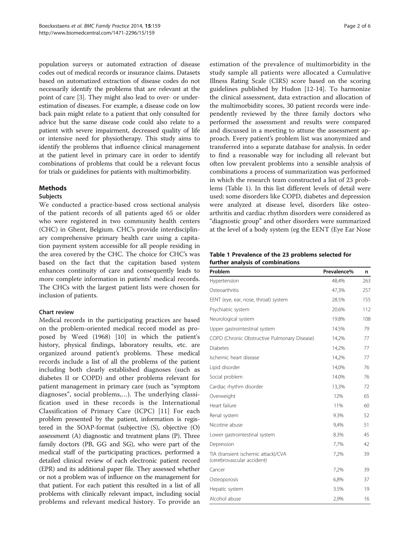<span id="page-1-0"></span>population surveys or automated extraction of disease codes out of medical records or insurance claims. Datasets based on automatized extraction of disease codes do not necessarily identify the problems that are relevant at the point of care [[3\]](#page-5-0). They might also lead to over- or underestimation of diseases. For example, a disease code on low back pain might relate to a patient that only consulted for advice but the same disease code could also relate to a patient with severe impairment, decreased quality of life or intensive need for physiotherapy. This study aims to identify the problems that influence clinical management at the patient level in primary care in order to identify combinations of problems that could be a relevant focus for trials or guidelines for patients with multimorbidity.

### Methods

### Subjects

We conducted a practice-based cross sectional analysis of the patient records of all patients aged 65 or older who were registered in two community health centers (CHC) in Ghent, Belgium. CHC's provide interdisciplinary comprehensive primary health care using a capitation payment system accessible for all people residing in the area covered by the CHC. The choice for CHC's was based on the fact that the capitation based system enhances continuity of care and consequently leads to more complete information in patients' medical records. The CHCs with the largest patient lists were chosen for inclusion of patients.

### Chart review

Medical records in the participating practices are based on the problem-oriented medical record model as proposed by Weed (1968) [[10\]](#page-5-0) in which the patient's history, physical findings, laboratory results, etc. are organized around patient's problems. These medical records include a list of all the problems of the patient including both clearly established diagnoses (such as diabetes II or COPD) and other problems relevant for patient management in primary care (such as "symptom diagnoses", social problems,…). The underlying classification used in these records is the International Classification of Primary Care (ICPC) [\[11](#page-5-0)] For each problem presented by the patient, information is registered in the SOAP-format (subjective (S), objective (O) assessment (A) diagnostic and treatment plans (P). Three family doctors (PB, GG and SG), who were part of the medical staff of the participating practices, performed a detailed clinical review of each electronic patient record (EPR) and its additional paper file. They assessed whether or not a problem was of influence on the management for that patient. For each patient this resulted in a list of all problems with clinically relevant impact, including social problems and relevant medical history. To provide an

estimation of the prevalence of multimorbidity in the study sample all patients were allocated a Cumulative Illness Rating Scale (CIRS) score based on the scoring guidelines published by Hudon [\[12](#page-5-0)-[14\]](#page-5-0). To harmonize the clinical assessment, data extraction and allocation of the multimorbidity scores, 30 patient records were independently reviewed by the three family doctors who performed the assessment and results were compared and discussed in a meeting to attune the assessment approach. Every patient's problem list was anonymized and transferred into a separate database for analysis. In order to find a reasonable way for including all relevant but often low prevalent problems into a sensible analysis of combinations a process of summarization was performed in which the research team constructed a list of 23 problems (Table 1). In this list different levels of detail were used: some disorders like COPD, diabetes and depression were analyzed at disease level, disorders like osteoarthritis and cardiac rhythm disorders were considered as "diagnostic group" and other disorders were summarized at the level of a body system (eg the EENT (Eye Ear Nose

#### Table 1 Prevalence of the 23 problems selected for further analysis of combinations

| Problem                                                           | Prevalence% | n   |
|-------------------------------------------------------------------|-------------|-----|
| Hypertension                                                      | 48.4%       | 263 |
| Osteoarthritis                                                    | 47,3%       | 257 |
| EENT (eye, ear, nose, throat) system                              | 28.5%       | 155 |
| Psychiatric system                                                | 20.6%       | 112 |
| Neurological system                                               | 19.8%       | 108 |
| Upper gastrointestinal system                                     | 14.5%       | 79  |
| COPD (Chronic Obstructive Pulmonary Disease)                      | 14,2%       | 77  |
| <b>Diabetes</b>                                                   | 14,2%       | 77  |
| Ischemic heart disease                                            | 14,2%       | 77  |
| Lipid disorder                                                    | 14,0%       | 76  |
| Social problem                                                    | 14.0%       | 76  |
| Cardiac rhythm disorder                                           | 13,3%       | 72  |
| Overweight                                                        | 12%         | 65  |
| Heart failure                                                     | 11%         | 60  |
| Renal system                                                      | 9.3%        | 52  |
| Nicotine abuse                                                    | 9,4%        | 51  |
| Lower gastrointestinal system                                     | 8.3%        | 45  |
| Depression                                                        | 7,7%        | 42  |
| TIA (transient ischemic attack)/CVA<br>(cerebrovascular accident) | 7,2%        | 39  |
| Cancer                                                            | 7,2%        | 39  |
| Osteoporosis                                                      | 6,8%        | 37  |
| Hepatic system                                                    | 3.5%        | 19  |
| Alcohol abuse                                                     | 2,9%        | 16  |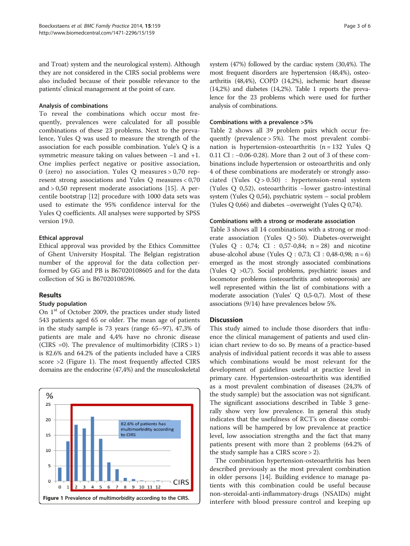and Troat) system and the neurological system). Although they are not considered in the CIRS social problems were also included because of their possible relevance to the patients' clinical management at the point of care.

#### Analysis of combinations

To reveal the combinations which occur most frequently, prevalences were calculated for all possible combinations of these 23 problems. Next to the prevalence, Yules Q was used to measure the strength of the association for each possible combination. Yule's Q is a symmetric measure taking on values between −1 and +1. One implies perfect negative or positive association, 0 (zero) no association. Yules Q measures > 0,70 represent strong associations and Yules Q measures < 0,70 and > 0,50 represent moderate associations [\[15\]](#page-5-0). A percentile bootstrap [[12\]](#page-5-0) procedure with 1000 data sets was used to estimate the 95% confidence interval for the Yules Q coefficients. All analyses were supported by SPSS version 19.0.

## Ethical approval

Ethical approval was provided by the Ethics Committee of Ghent University Hospital. The Belgian registration number of the approval for the data collection performed by GG and PB is B67020108605 and for the data collection of SG is B67020108596.

## Results

### Study population

On 1<sup>st</sup> of October 2009, the practices under study listed 543 patients aged 65 or older. The mean age of patients in the study sample is 73 years (range 65–97), 47,3% of patients are male and 4,4% have no chronic disease (CIRS =0). The prevalence of multimorbidity (CIRS  $> 1$ ) is 82.6% and 64.2% of the patients included have a CIRS score >2 (Figure 1). The most frequently affected CIRS domains are the endocrine (47,4%) and the musculoskeletal



system (47%) followed by the cardiac system (30,4%). The most frequent disorders are hypertension (48,4%), osteoarthritis (48,4%), COPD (14,2%), ischemic heart disease (14,2%) and diabetes (14,2%). Table [1](#page-1-0) reports the prevalence for the 23 problems which were used for further analysis of combinations.

#### Combinations with a prevalence >5%

Table [2](#page-3-0) shows all 39 problem pairs which occur frequently (prevalence > 5%). The most prevalent combination is hypertension-osteoarthritis (n = 132 Yules Q 0.11 CI : −0.06-0.28). More than 2 out of 3 of these combinations include hypertension or osteoarthritis and only 4 of these combinations are moderately or strongly associated (Yules  $Q > 0.50$ ) : hypertension-renal system (Yules Q 0,52), osteoarthritis –lower gastro-intestinal system (Yules Q 0,54), psychiatric system – social problem (Yules Q 0,66) and diabetes –overweight (Yules Q 0,74).

#### Combinations with a strong or moderate association

Table [3](#page-3-0) shows all 14 combinations with a strong or moderate association (Yules  $Q > 50$ ). Diabetes-overweight (Yules  $Q : 0.74$ ; CI : 0.57-0.84; n = 28) and nicotine abuse-alcohol abuse (Yules Q : 0,73; CI : 0,48-0,98; n = 6) emerged as the most strongly associated combinations (Yules Q >0,7). Social problems, psychiatric issues and locomotor problems (osteoarthritis and osteoporosis) are well represented within the list of combinations with a moderate association (Yules' Q 0,5-0,7). Most of these associations (9/14) have prevalences below 5%.

### **Discussion**

This study aimed to include those disorders that influence the clinical management of patients and used clinician chart review to do so. By means of a practice-based analysis of individual patient records it was able to assess which combinations would be most relevant for the development of guidelines useful at practice level in primary care. Hypertension-osteoarthritis was identified as a most prevalent combination of diseases (24,3% of the study sample) but the association was not significant. The significant associations described in Table [3](#page-3-0) generally show very low prevalence. In general this study indicates that the usefulness of RCT's on disease combinations will be hampered by low prevalence at practice level, low association strengths and the fact that many patients present with more than 2 problems (64.2% of the study sample has a CIRS score > 2).

The combination hypertension-osteoarthritis has been described previously as the most prevalent combination in older persons [\[14](#page-5-0)]. Building evidence to manage patients with this combination could be useful because non-steroidal-anti-inflammatory-drugs (NSAIDs) might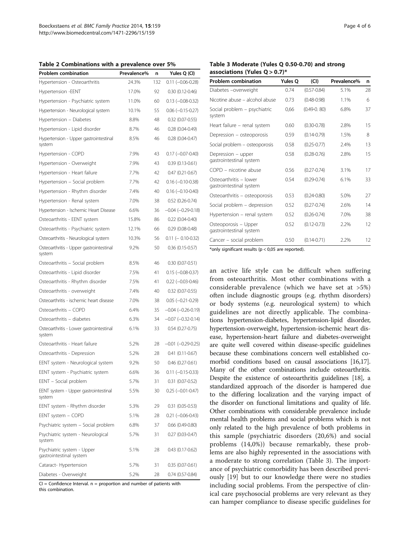<span id="page-3-0"></span>Table 2 Combinations with a prevalence over 5%

Problem combination Prevalence% n Yules Q (CI) Hypertension - Osteoarthritis 24.3% 132 0.11 (−0.06-0.28)

## Table 3 Moderate (Yules Q 0.50-0.70) and strong associations (Yules  $Q > 0.7$ )\* Problem combination Yules Q (CI) Prevalence% n Diabetes –overweight 0.74 (0.57-0.84) 5.1% 28 Nicotine abuse – alcohol abuse 0.73 (0.48-0.98) 1.1% 6

Heart failure – renal system 0.60 (0.30-0.78) 2.8% 15 Depression – osteoporosis 0.59 (0.14-0.79) 1.5% 8 Social problem – osteoporosis 0.58 (0.25-0.77) 2.4% 13

COPD – nicotine abuse 0.56 (0.27-0.74) 3.1% 17

Osteoarthritis – osteoporosis 0.53 (0.24-0.80) 5.0% 27 Social problem – depression 0.52 (0.27-0.74) 2.6% 14 Hypertension – renal system 0.52 (0.26-0.74) 7.0% 38

Cancer – social problem 0.50 (0.14-0.71) 2.2% 12

Social problem – psychiatric

Depression – upper gastrointestinal system

Osteoarthritis – lower gastrointestinal system

Osteoporosis – Upper gastrointestinal system

system

| Hypertension -EENT                                    | 17.0% | 92 | $0.30(0.12 - 0.46)$      |
|-------------------------------------------------------|-------|----|--------------------------|
| Hypertension - Psychiatric system                     | 11.0% | 60 | $0.13 (-0.08 - 0.32)$    |
| Hypertension - Neurological system                    | 10.1% | 55 | $0.06 (-0.15 - 0.27)$    |
| Hypertension - Diabetes                               | 8.8%  | 48 | 0.32 (0.07-0.55)         |
| Hypertension - Lipid disorder                         | 8.7%  | 46 | $0.28(0.04 - 0.49)$      |
| Hypertension - Upper gastrointestinal<br>system       | 8.5%  | 46 | $0.28(0.04 - 0.47)$      |
| Hypertension - COPD                                   | 7.9%  | 43 | $0.17 (-0.07 - 0.40)$    |
| Hypertension - Overweight                             | 7.9%  | 43 | $0.39(0.13 - 0.61)$      |
| Hypertension - Heart failure                          | 7.7%  | 42 | $0.47(0.21 - 0.67)$      |
| Hypertension - Social problem                         | 7.7%  | 42 | $0.16 (-0.10 - 0.38)$    |
| Hypertension - Rhythm disorder                        | 7.4%  | 40 | $0.16 (-0.10 - 0.40)$    |
| Hypertension - Renal system                           | 7.0%  | 38 | $0.52(0.26 - 0.74)$      |
| Hypertension - Ischemic Heart Disease                 | 6.6%  | 36 | $-0.04 (-0.29 - 0.18)$   |
| Osteoarthritis - EENT system                          | 15.8% | 86 | $0.22$ $(0.04 - 0.40)$   |
| Osteoarthritis - Psychiatric system                   | 12.1% | 66 | $0.29(0.08 - 0.48)$      |
| Osteoarthritis - Neurological system                  | 10.3% | 56 | $0.11 (-0.10 - 0.32)$    |
| Osteoarthritis - Upper gastrointestinal<br>system     | 9.2%  | 50 | 0.36 (0.15-0.57)         |
| Osteoarthritis - Social problem                       | 8.5%  | 46 | $0.30(0.07 - 0.51)$      |
| Osteoarthritis - Lipid disorder                       | 7.5%  | 41 | $0.15 (-0.08 - 0.37)$    |
| Osteoarthritis - Rhythm disorder                      | 7.5%  | 41 | $0.22 (-0.03 - 0.46)$    |
| Osteoarthritis - overweight                           | 7.4%  | 40 | $0.32$ (0.07-0.55)       |
| Osteoarthritis - ischemic heart disease               | 7.0%  | 38 | $0.05 (-0.21 - 0.29)$    |
| Osteoarthritis - COPD                                 | 6.4%  | 35 | $-0.04 (-0.26 - 0.19)$   |
| Osteoarthritis - diabetes                             | 6.3%  | 34 | $-0.07$ $(-0.32 - 0.14)$ |
| Osteoarthritis - Lower gastrointestinal<br>system     | 6.1%  | 33 | $0.54(0.27-0.75)$        |
| Osteoarthritis - Heart failure                        | 5.2%  | 28 | $-0.01$ $(-0.29 - 0.25)$ |
| Osteoarthritis - Depression                           | 5.2%  | 28 | $0.41(0.11-0.67)$        |
| EENT system - Neurological system                     | 9.2%  | 50 | $0.46(0.27-0.61)$        |
| EENT system - Psychiatric system                      | 6.6%  | 36 | $0.11 (-0.15 - 0.33)$    |
| EENT - Social problem                                 | 5.7%  | 31 | $0.31$ (0.07-0.52)       |
| EENT system - Upper gastrointestinal<br>system        | 5.5%  | 30 | $0.25 (-0.01 - 0.47)$    |
| EENT system - Rhythm disorder                         | 5.3%  | 29 | $0.31(0.05 - 0.53)$      |
| EENT system - COPD                                    | 5.1%  | 28 | $0.21 (-0.06 - 0.43)$    |
| Psychiatric system - Social problem                   | 6.8%  | 37 | $0.66$ (0.49-0.80)       |
| Psychiatric system - Neurological<br>system           | 5.7%  | 31 | $0.27(0.03 - 0.47)$      |
| Psychiatric system - Upper<br>gastrointestinal system | 5.1%  | 28 | $0.43(0.17-0.62)$        |
| Cataract- Hypertension                                | 5.7%  | 31 | $0.35(0.07 - 0.61)$      |
| Diabetes - Overweight                                 | 5.2%  | 28 | $0.74(0.57-0.84)$        |

 $Cl =$  Confidence Interval.  $n =$  proportion and number of patients with this combination.

\*only significant results ( $p < 0.05$  are reported).

an active life style can be difficult when suffering from osteoarthritis. Most other combinations with a considerable prevalence (which we have set at >5%) often include diagnostic groups (e.g. rhythm disorders) or body systems (e.g. neurological system) to which guidelines are not directly applicable. The combinations hypertension-diabetes, hypertension-lipid disorder, hypertension-overweight, hypertension-ischemic heart disease, hypertension-heart failure and diabetes-overweight are quite well covered within disease-specific guidelines because these combinations concern well established comorbid conditions based on causal associations [\[16,17](#page-5-0)]. Many of the other combinations include osteoarthritis. Despite the existence of osteoarthritis guidelines [[18](#page-5-0)], a standardized approach of the disorder is hampered due to the differing localization and the varying impact of the disorder on functional limitations and quality of life. Other combinations with considerable prevalence include mental health problems and social problems which is not only related to the high prevalence of both problems in this sample (psychiatric disorders (20,6%) and social problems (14,0%)) because remarkably, these problems are also highly represented in the associations with a moderate to strong correlation (Table 3). The importance of psychiatric comorbidity has been described previously [\[19](#page-5-0)] but to our knowledge there were no studies including social problems. From the perspective of clinical care psychosocial problems are very relevant as they can hamper compliance to disease specific guidelines for

0,66 (0.49-0. 80) 6.8% 37

0.58 (0.28-0.76) 2.8% 15

0.54 (0.29-0.74) 6.1% 33

0.52 (0.12-0.73) 2.2% 12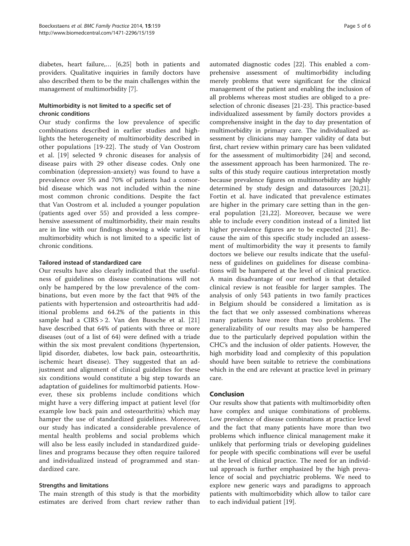diabetes, heart failure,… [6,25] both in patients and providers. Qualitative inquiries in family doctors have also described them to be the main challenges within the management of multimorbidity [[7\]](#page-5-0).

## Multimorbidity is not limited to a specific set of chronic conditions

Our study confirms the low prevalence of specific combinations described in earlier studies and highlights the heterogeneity of multimorbidity described in other populations [[19-22](#page-5-0)]. The study of Van Oostrom et al. [\[19](#page-5-0)] selected 9 chronic diseases for analysis of disease pairs with 29 other disease codes. Only one combination (depression-anxiety) was found to have a prevalence over 5% and 70% of patients had a comorbid disease which was not included within the nine most common chronic conditions. Despite the fact that Van Oostrom et al. included a younger population (patients aged over 55) and provided a less comprehensive assessment of multimorbidity, their main results are in line with our findings showing a wide variety in multimorbidity which is not limited to a specific list of chronic conditions.

## Tailored instead of standardized care

Our results have also clearly indicated that the usefulness of guidelines on disease combinations will not only be hampered by the low prevalence of the combinations, but even more by the fact that 94% of the patients with hypertension and osteoarthritis had additional problems and 64.2% of the patients in this sample had a CIRS > 2. Van den Bussche et al. [\[21](#page-5-0)] have described that 64% of patients with three or more diseases (out of a list of 64) were defined with a triade within the six most prevalent conditions (hypertension, lipid disorder, diabetes, low back pain, osteoarthritis, ischemic heart disease). They suggested that an adjustment and alignment of clinical guidelines for these six conditions would constitute a big step towards an adaptation of guidelines for multimorbid patients. However, these six problems include conditions which might have a very differing impact at patient level (for example low back pain and osteoarthritis) which may hamper the use of standardized guidelines. Moreover, our study has indicated a considerable prevalence of mental health problems and social problems which will also be less easily included in standardized guidelines and programs because they often require tailored and individualized instead of programmed and standardized care.

## Strengths and limitations

The main strength of this study is that the morbidity estimates are derived from chart review rather than

automated diagnostic codes [[22](#page-5-0)]. This enabled a comprehensive assessment of multimorbidity including merely problems that were significant for the clinical management of the patient and enabling the inclusion of all problems whereas most studies are obliged to a preselection of chronic diseases [\[21-23](#page-5-0)]. This practice-based individualized assessment by family doctors provides a comprehensive insight in the day to day presentation of multimorbidity in primary care. The individualized assessment by clinicians may hamper validity of data but first, chart review within primary care has been validated for the assessment of multimorbidity [[24](#page-5-0)] and second, the assessment approach has been harmonized. The results of this study require cautious interpretation mostly because prevalence figures on multimorbidity are highly determined by study design and datasources [\[20,21](#page-5-0)]. Fortin et al. have indicated that prevalence estimates are higher in the primary care setting than in the general population [[21,22\]](#page-5-0). Moreover, because we were able to include every condition instead of a limited list higher prevalence figures are to be expected [[21\]](#page-5-0). Because the aim of this specific study included an assessment of multimorbidity the way it presents to family doctors we believe our results indicate that the usefulness of guidelines on guidelines for disease combinations will be hampered at the level of clinical practice. A main disadvantage of our method is that detailed clinical review is not feasible for larger samples. The analysis of only 543 patients in two family practices in Belgium should be considered a limitation as is the fact that we only assessed combinations whereas many patients have more than two problems. The generalizability of our results may also be hampered due to the particularly deprived population within the CHC's and the inclusion of older patients. However, the high morbidity load and complexity of this population should have been suitable to retrieve the combinations which in the end are relevant at practice level in primary care.

### Conclusion

Our results show that patients with multimorbidity often have complex and unique combinations of problems. Low prevalence of disease combinations at practice level and the fact that many patients have more than two problems which influence clinical management make it unlikely that performing trials or developing guidelines for people with specific combinations will ever be useful at the level of clinical practice. The need for an individual approach is further emphasized by the high prevalence of social and psychiatric problems. We need to explore new generic ways and paradigms to approach patients with multimorbidity which allow to tailor care to each individual patient [\[19\]](#page-5-0).